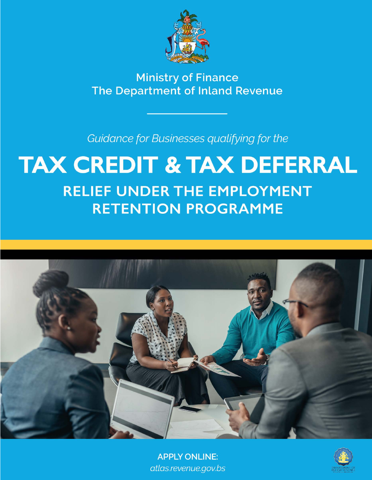

**Ministry of Finance** The Department of Inland Revenue

Guidance for Businesses qualifying for the

## **TAX CREDIT & TAX DEFERRAL RELIEF UNDER THE EMPLOYMENT RETENTION PROGRAMME**



**APPLY ONLINE:** atlas.revenue.gov.bs

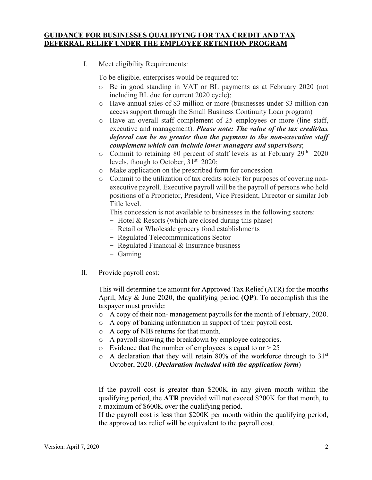## **GUIDANCE FOR BUSINESSES QUALIFYING FOR TAX CREDIT AND TAX DEFERRAL RELIEF UNDER THE EMPLOYEE RETENTION PROGRAM**

I. Meet eligibility Requirements:

To be eligible, enterprises would be required to:

- o Be in good standing in VAT or BL payments as at February 2020 (not including BL due for current 2020 cycle);
- o Have annual sales of \$3 million or more (businesses under \$3 million can access support through the Small Business Continuity Loan program)
- o Have an overall staff complement of 25 employees or more (line staff, executive and management). *Please note: The value of the tax credit/tax deferral can be no greater than the payment to the non-executive staff complement which can include lower managers and supervisors*;
- o Commit to retaining 80 percent of staff levels as at February 29th 2020 levels, though to October,  $31<sup>st</sup>$  2020;
- o Make application on the prescribed form for concession
- o Commit to the utilization of tax credits solely for purposes of covering nonexecutive payroll. Executive payroll will be the payroll of persons who hold positions of a Proprietor, President, Vice President, Director or similar Job Title level.

This concession is not available to businesses in the following sectors:

- Hotel & Resorts (which are closed during this phase)
- Retail or Wholesale grocery food establishments
- Regulated Telecommunications Sector
- Regulated Financial & Insurance business
- Gaming
- II. Provide payroll cost:

This will determine the amount for Approved Tax Relief (ATR) for the months April, May & June 2020, the qualifying period **(QP**). To accomplish this the taxpayer must provide:

- o A copy of their non- management payrolls for the month of February, 2020.
- o A copy of banking information in support of their payroll cost.
- o A copy of NIB returns for that month.
- o A payroll showing the breakdown by employee categories.
- $\circ$  Evidence that the number of employees is equal to or  $> 25$
- $\circ$  A declaration that they will retain 80% of the workforce through to 31<sup>st</sup> October, 2020. (*Declaration included with the application form*)

If the payroll cost is greater than \$200K in any given month within the qualifying period, the **ATR** provided will not exceed \$200K for that month, to a maximum of \$600K over the qualifying period.

If the payroll cost is less than \$200K per month within the qualifying period, the approved tax relief will be equivalent to the payroll cost.